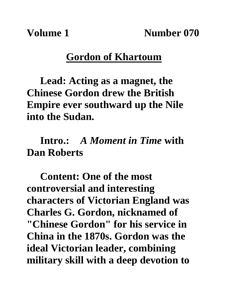**Volume 1 Number 070**

#### **Gordon of Khartoum**

**Lead: Acting as a magnet, the Chinese Gordon drew the British Empire ever southward up the Nile into the Sudan.**

### **Intro.:** *A Moment in Time* **with Dan Roberts**

**Content: One of the most controversial and interesting characters of Victorian England was Charles G. Gordon, nicknamed of "Chinese Gordon" for his service in China in the 1870s. Gordon was the ideal Victorian leader, combining military skill with a deep devotion to**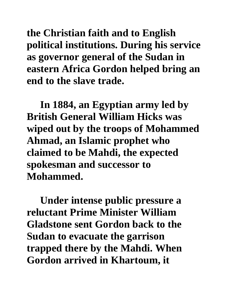**the Christian faith and to English political institutions. During his service as governor general of the Sudan in eastern Africa Gordon helped bring an end to the slave trade.** 

**In 1884, an Egyptian army led by British General William Hicks was wiped out by the troops of Mohammed Ahmad, an Islamic prophet who claimed to be Mahdi, the expected spokesman and successor to Mohammed.**

**Under intense public pressure a reluctant Prime Minister William Gladstone sent Gordon back to the Sudan to evacuate the garrison trapped there by the Mahdi. When Gordon arrived in Khartoum, it**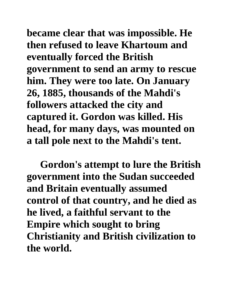**became clear that was impossible. He then refused to leave Khartoum and eventually forced the British government to send an army to rescue him. They were too late. On January 26, 1885, thousands of the Mahdi's followers attacked the city and captured it. Gordon was killed. His head, for many days, was mounted on a tall pole next to the Mahdi's tent.**

**Gordon's attempt to lure the British government into the Sudan succeeded and Britain eventually assumed control of that country, and he died as he lived, a faithful servant to the Empire which sought to bring Christianity and British civilization to the world.**